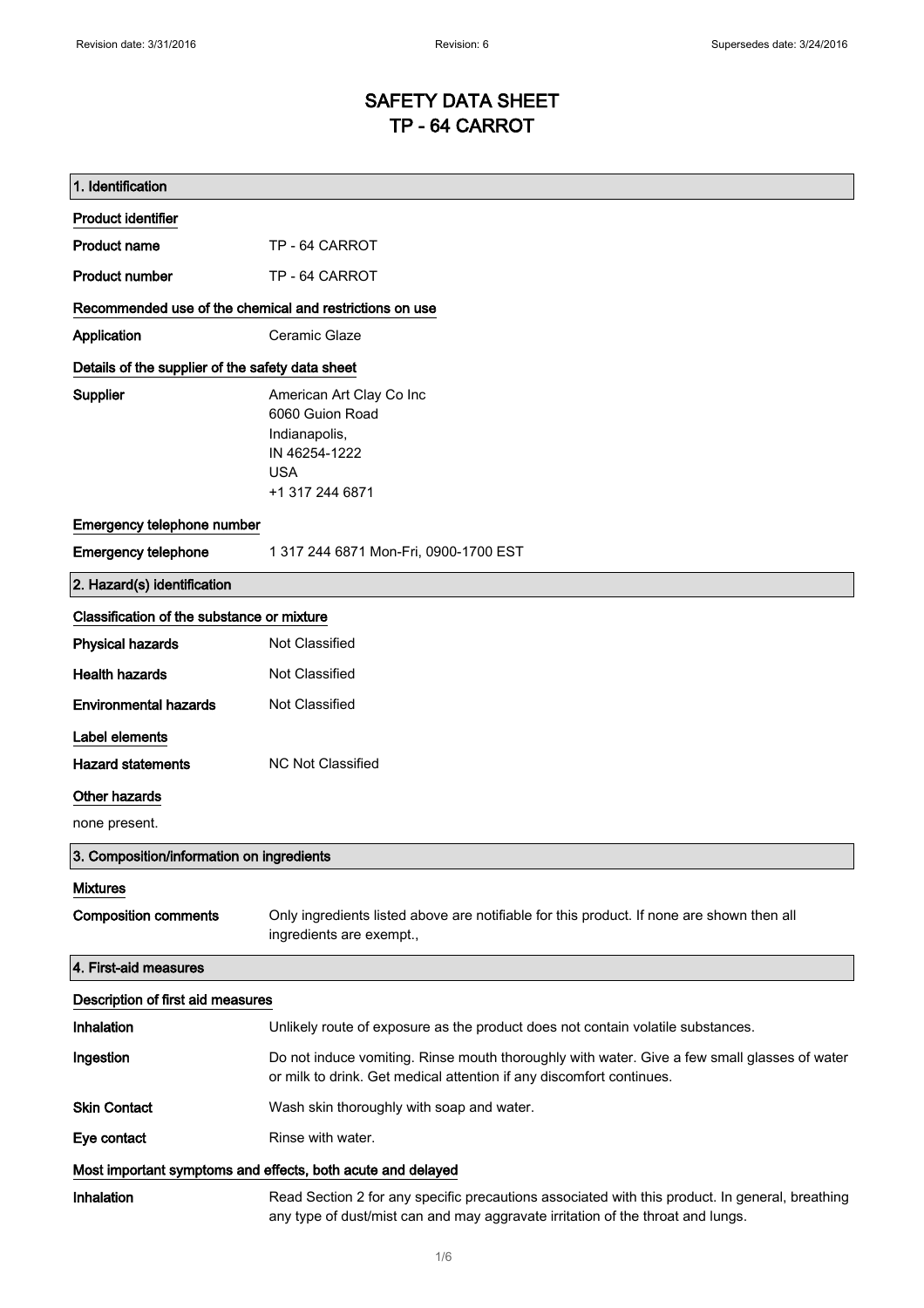# SAFETY DATA SHEET TP - 64 CARROT

| 1. Identification                                           |                                                                                                                                                                                    |
|-------------------------------------------------------------|------------------------------------------------------------------------------------------------------------------------------------------------------------------------------------|
| <b>Product identifier</b>                                   |                                                                                                                                                                                    |
| <b>Product name</b>                                         | TP - 64 CARROT                                                                                                                                                                     |
| <b>Product number</b>                                       | TP - 64 CARROT                                                                                                                                                                     |
| Recommended use of the chemical and restrictions on use     |                                                                                                                                                                                    |
| Application                                                 | Ceramic Glaze                                                                                                                                                                      |
| Details of the supplier of the safety data sheet            |                                                                                                                                                                                    |
| Supplier                                                    | American Art Clay Co Inc<br>6060 Guion Road<br>Indianapolis,<br>IN 46254-1222<br><b>USA</b><br>+1 317 244 6871                                                                     |
| Emergency telephone number                                  |                                                                                                                                                                                    |
| <b>Emergency telephone</b>                                  | 1 317 244 6871 Mon-Fri, 0900-1700 EST                                                                                                                                              |
| 2. Hazard(s) identification                                 |                                                                                                                                                                                    |
| Classification of the substance or mixture                  |                                                                                                                                                                                    |
| <b>Physical hazards</b>                                     | Not Classified                                                                                                                                                                     |
| <b>Health hazards</b>                                       | Not Classified                                                                                                                                                                     |
| <b>Environmental hazards</b>                                | Not Classified                                                                                                                                                                     |
| Label elements                                              |                                                                                                                                                                                    |
| <b>Hazard statements</b>                                    | <b>NC Not Classified</b>                                                                                                                                                           |
| Other hazards                                               |                                                                                                                                                                                    |
| none present.                                               |                                                                                                                                                                                    |
| 3. Composition/information on ingredients                   |                                                                                                                                                                                    |
| <b>Mixtures</b>                                             |                                                                                                                                                                                    |
| <b>Composition comments</b>                                 | Only ingredients listed above are notifiable for this product. If none are shown then all<br>ingredients are exempt.,                                                              |
| 4. First-aid measures                                       |                                                                                                                                                                                    |
| Description of first aid measures                           |                                                                                                                                                                                    |
| Inhalation                                                  | Unlikely route of exposure as the product does not contain volatile substances.                                                                                                    |
| Ingestion                                                   | Do not induce vomiting. Rinse mouth thoroughly with water. Give a few small glasses of water<br>or milk to drink. Get medical attention if any discomfort continues.               |
| <b>Skin Contact</b>                                         | Wash skin thoroughly with soap and water.                                                                                                                                          |
| Eye contact                                                 | Rinse with water.                                                                                                                                                                  |
| Most important symptoms and effects, both acute and delayed |                                                                                                                                                                                    |
| Inhalation                                                  | Read Section 2 for any specific precautions associated with this product. In general, breathing<br>any type of dust/mist can and may aggravate irritation of the throat and lungs. |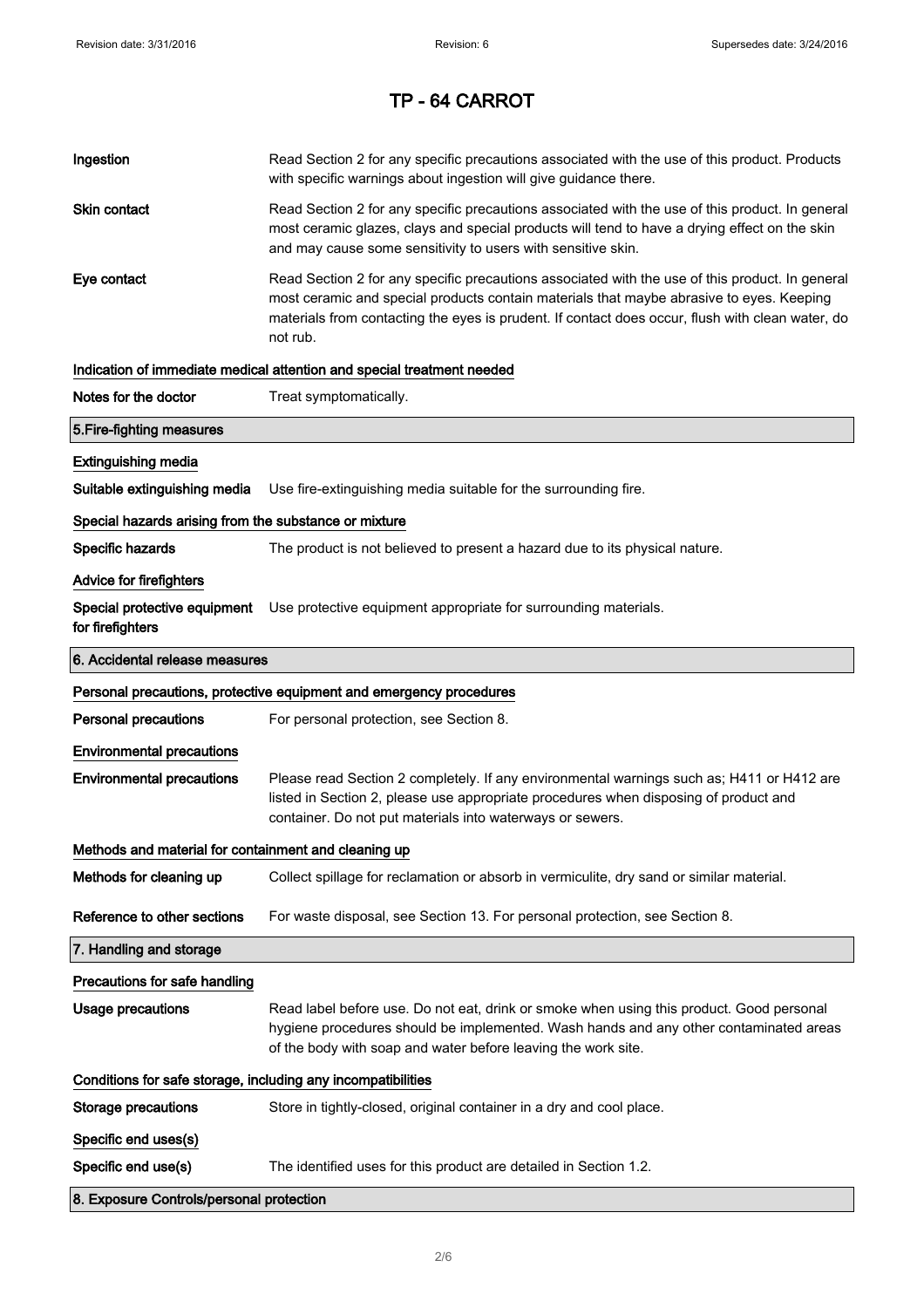| Ingestion                                                    | Read Section 2 for any specific precautions associated with the use of this product. Products<br>with specific warnings about ingestion will give guidance there.                                                                                                                                           |
|--------------------------------------------------------------|-------------------------------------------------------------------------------------------------------------------------------------------------------------------------------------------------------------------------------------------------------------------------------------------------------------|
| Skin contact                                                 | Read Section 2 for any specific precautions associated with the use of this product. In general<br>most ceramic glazes, clays and special products will tend to have a drying effect on the skin<br>and may cause some sensitivity to users with sensitive skin.                                            |
| Eye contact                                                  | Read Section 2 for any specific precautions associated with the use of this product. In general<br>most ceramic and special products contain materials that maybe abrasive to eyes. Keeping<br>materials from contacting the eyes is prudent. If contact does occur, flush with clean water, do<br>not rub. |
|                                                              | Indication of immediate medical attention and special treatment needed                                                                                                                                                                                                                                      |
| Notes for the doctor                                         | Treat symptomatically.                                                                                                                                                                                                                                                                                      |
| 5. Fire-fighting measures                                    |                                                                                                                                                                                                                                                                                                             |
| <b>Extinguishing media</b>                                   |                                                                                                                                                                                                                                                                                                             |
| Suitable extinguishing media                                 | Use fire-extinguishing media suitable for the surrounding fire.                                                                                                                                                                                                                                             |
| Special hazards arising from the substance or mixture        |                                                                                                                                                                                                                                                                                                             |
| Specific hazards                                             | The product is not believed to present a hazard due to its physical nature.                                                                                                                                                                                                                                 |
| <b>Advice for firefighters</b>                               |                                                                                                                                                                                                                                                                                                             |
| Special protective equipment<br>for firefighters             | Use protective equipment appropriate for surrounding materials.                                                                                                                                                                                                                                             |
| 6. Accidental release measures                               |                                                                                                                                                                                                                                                                                                             |
|                                                              |                                                                                                                                                                                                                                                                                                             |
|                                                              | Personal precautions, protective equipment and emergency procedures                                                                                                                                                                                                                                         |
| <b>Personal precautions</b>                                  | For personal protection, see Section 8.                                                                                                                                                                                                                                                                     |
| <b>Environmental precautions</b>                             |                                                                                                                                                                                                                                                                                                             |
| <b>Environmental precautions</b>                             | Please read Section 2 completely. If any environmental warnings such as; H411 or H412 are<br>listed in Section 2, please use appropriate procedures when disposing of product and<br>container. Do not put materials into waterways or sewers.                                                              |
| Methods and material for containment and cleaning up         |                                                                                                                                                                                                                                                                                                             |
| Methods for cleaning up                                      | Collect spillage for reclamation or absorb in vermiculite, dry sand or similar material.                                                                                                                                                                                                                    |
| Reference to other sections                                  | For waste disposal, see Section 13. For personal protection, see Section 8.                                                                                                                                                                                                                                 |
| 7. Handling and storage                                      |                                                                                                                                                                                                                                                                                                             |
| Precautions for safe handling                                |                                                                                                                                                                                                                                                                                                             |
| Usage precautions                                            | Read label before use. Do not eat, drink or smoke when using this product. Good personal<br>hygiene procedures should be implemented. Wash hands and any other contaminated areas<br>of the body with soap and water before leaving the work site.                                                          |
| Conditions for safe storage, including any incompatibilities |                                                                                                                                                                                                                                                                                                             |
| <b>Storage precautions</b>                                   | Store in tightly-closed, original container in a dry and cool place.                                                                                                                                                                                                                                        |
| Specific end uses(s)                                         |                                                                                                                                                                                                                                                                                                             |
| Specific end use(s)                                          | The identified uses for this product are detailed in Section 1.2.                                                                                                                                                                                                                                           |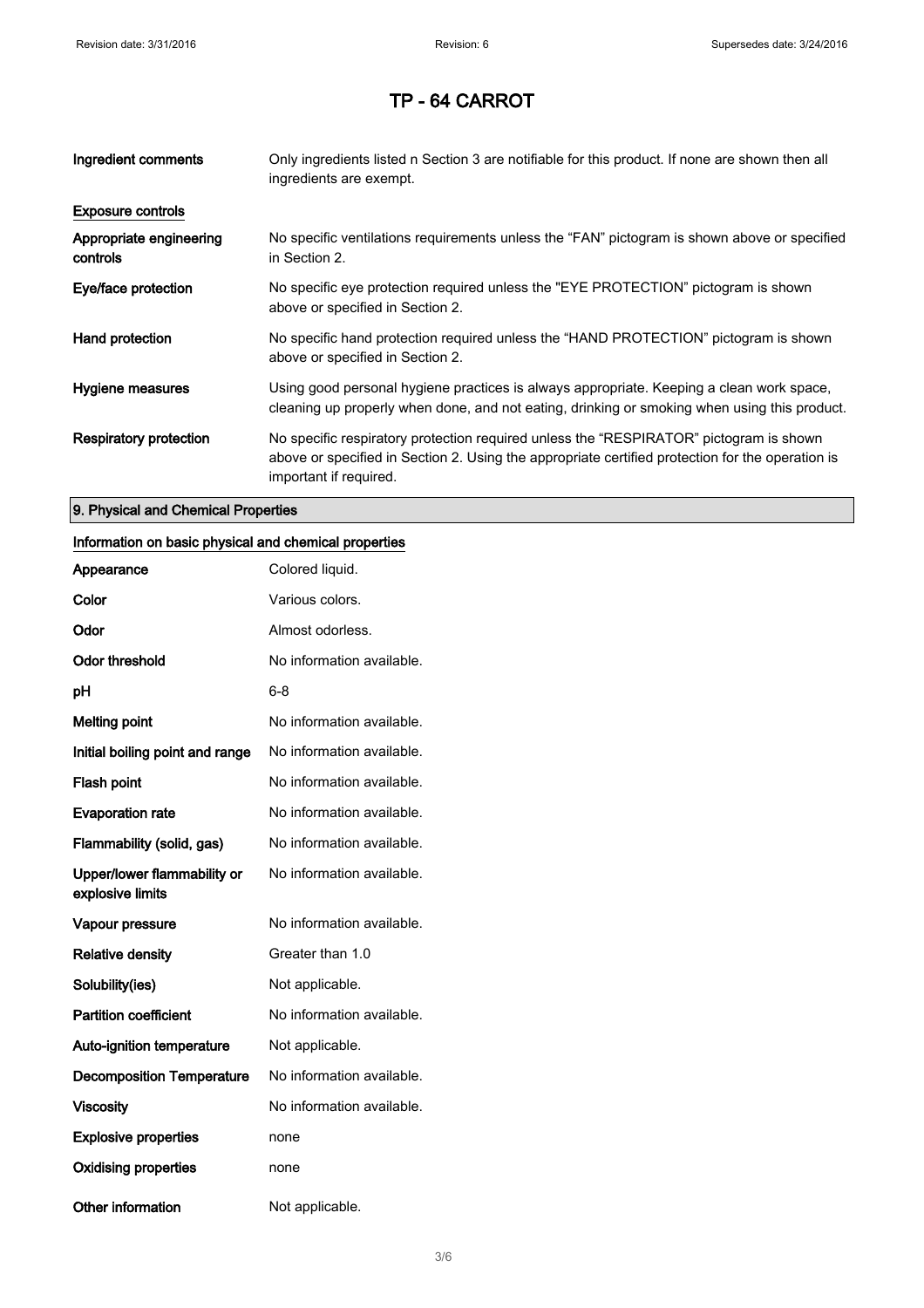| Ingredient comments                 | Only ingredients listed n Section 3 are notifiable for this product. If none are shown then all<br>ingredients are exempt.                                                                                           |
|-------------------------------------|----------------------------------------------------------------------------------------------------------------------------------------------------------------------------------------------------------------------|
| <b>Exposure controls</b>            |                                                                                                                                                                                                                      |
| Appropriate engineering<br>controls | No specific ventilations requirements unless the "FAN" pictogram is shown above or specified<br>in Section 2.                                                                                                        |
| Eye/face protection                 | No specific eye protection required unless the "EYE PROTECTION" pictogram is shown<br>above or specified in Section 2.                                                                                               |
| Hand protection                     | No specific hand protection required unless the "HAND PROTECTION" pictogram is shown<br>above or specified in Section 2.                                                                                             |
| Hygiene measures                    | Using good personal hygiene practices is always appropriate. Keeping a clean work space,<br>cleaning up properly when done, and not eating, drinking or smoking when using this product.                             |
| <b>Respiratory protection</b>       | No specific respiratory protection required unless the "RESPIRATOR" pictogram is shown<br>above or specified in Section 2. Using the appropriate certified protection for the operation is<br>important if required. |

### 9. Physical and Chemical Properties

## Information on basic physical and chemical properties

| Appearance                                      | Colored liquid.           |
|-------------------------------------------------|---------------------------|
| Color                                           | Various colors.           |
| Odor                                            | Almost odorless.          |
| <b>Odor threshold</b>                           | No information available. |
| рH                                              | 6-8                       |
| <b>Melting point</b>                            | No information available. |
| Initial boiling point and range                 | No information available. |
| Flash point                                     | No information available. |
| <b>Evaporation rate</b>                         | No information available. |
| Flammability (solid, gas)                       | No information available. |
| Upper/lower flammability or<br>explosive limits | No information available. |
| Vapour pressure                                 | No information available. |
| <b>Relative density</b>                         | Greater than 1.0          |
| Solubility(ies)                                 | Not applicable.           |
| <b>Partition coefficient</b>                    | No information available. |
| <b>Auto-ignition temperature</b>                | Not applicable.           |
| <b>Decomposition Temperature</b>                | No information available. |
| <b>Viscosity</b>                                | No information available. |
| <b>Explosive properties</b>                     | none                      |
| <b>Oxidising properties</b>                     | none                      |
| <b>Other information</b>                        | Not applicable.           |

#### 3/ 6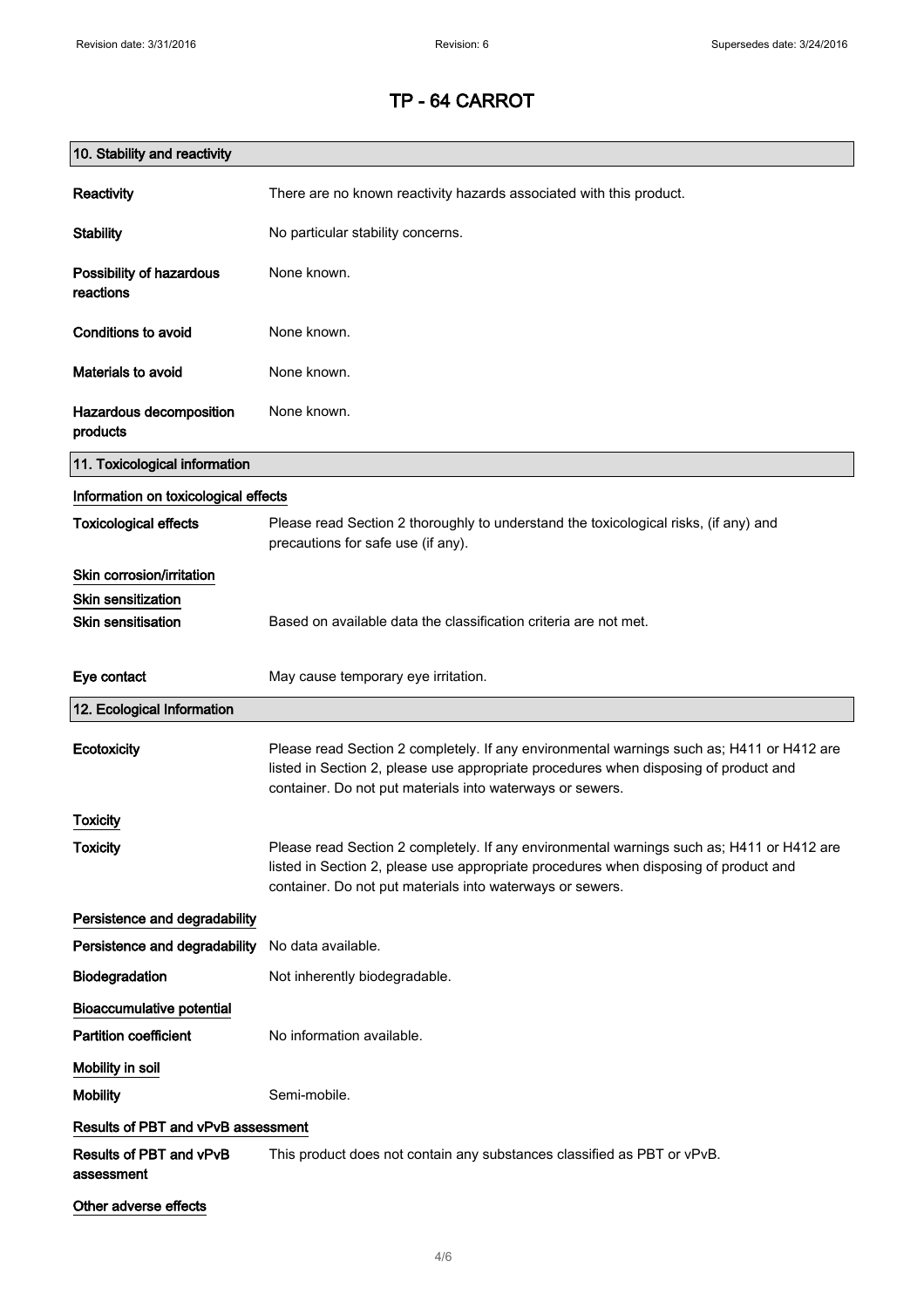| 10. Stability and reactivity          |                                                                                                                                                                                                                                                |
|---------------------------------------|------------------------------------------------------------------------------------------------------------------------------------------------------------------------------------------------------------------------------------------------|
| Reactivity                            | There are no known reactivity hazards associated with this product.                                                                                                                                                                            |
| <b>Stability</b>                      | No particular stability concerns.                                                                                                                                                                                                              |
| Possibility of hazardous<br>reactions | None known.                                                                                                                                                                                                                                    |
| <b>Conditions to avoid</b>            | None known.                                                                                                                                                                                                                                    |
| <b>Materials to avoid</b>             | None known.                                                                                                                                                                                                                                    |
| Hazardous decomposition<br>products   | None known.                                                                                                                                                                                                                                    |
| 11. Toxicological information         |                                                                                                                                                                                                                                                |
| Information on toxicological effects  |                                                                                                                                                                                                                                                |
| <b>Toxicological effects</b>          | Please read Section 2 thoroughly to understand the toxicological risks, (if any) and<br>precautions for safe use (if any).                                                                                                                     |
| Skin corrosion/irritation             |                                                                                                                                                                                                                                                |
| <b>Skin sensitization</b>             |                                                                                                                                                                                                                                                |
| <b>Skin sensitisation</b>             | Based on available data the classification criteria are not met.                                                                                                                                                                               |
| Eye contact                           | May cause temporary eye irritation.                                                                                                                                                                                                            |
| 12. Ecological Information            |                                                                                                                                                                                                                                                |
| Ecotoxicity                           | Please read Section 2 completely. If any environmental warnings such as; H411 or H412 are<br>listed in Section 2, please use appropriate procedures when disposing of product and<br>container. Do not put materials into waterways or sewers. |
| Toxicity                              |                                                                                                                                                                                                                                                |
| <b>Toxicity</b>                       | Please read Section 2 completely. If any environmental warnings such as; H411 or H412 are<br>listed in Section 2, please use appropriate procedures when disposing of product and<br>container. Do not put materials into waterways or sewers. |
| Persistence and degradability         |                                                                                                                                                                                                                                                |
| Persistence and degradability         | No data available.                                                                                                                                                                                                                             |
| Biodegradation                        | Not inherently biodegradable.                                                                                                                                                                                                                  |
| <b>Bioaccumulative potential</b>      |                                                                                                                                                                                                                                                |
| <b>Partition coefficient</b>          | No information available.                                                                                                                                                                                                                      |
| Mobility in soil                      |                                                                                                                                                                                                                                                |
| <b>Mobility</b>                       | Semi-mobile.                                                                                                                                                                                                                                   |
| Results of PBT and vPvB assessment    |                                                                                                                                                                                                                                                |
| Results of PBT and vPvB<br>assessment | This product does not contain any substances classified as PBT or vPvB.                                                                                                                                                                        |
| Other adverse effects                 |                                                                                                                                                                                                                                                |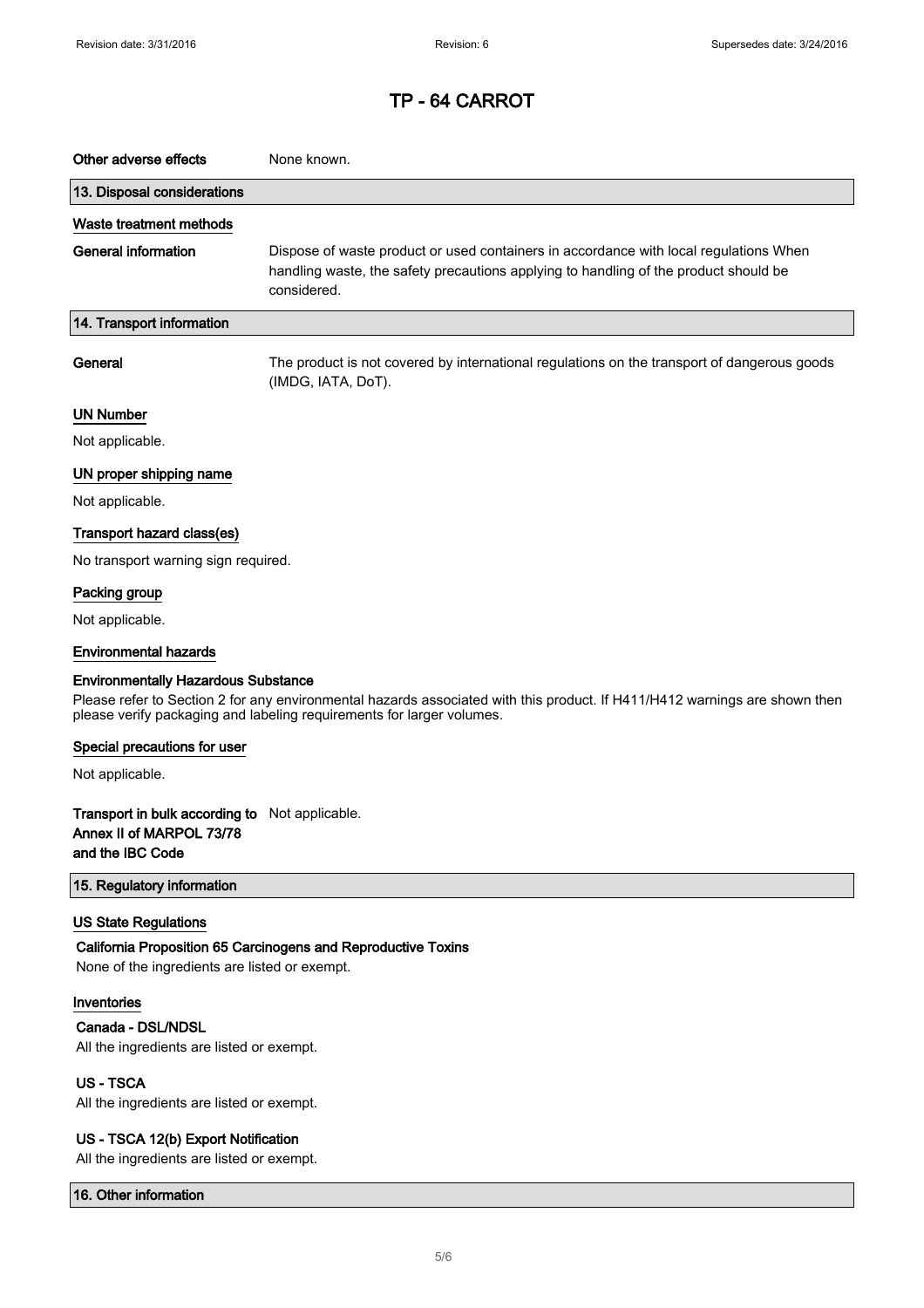| Other adverse effects                                                                                                                                                                                                                             | None known.                                                                                                                                                                                  |  |
|---------------------------------------------------------------------------------------------------------------------------------------------------------------------------------------------------------------------------------------------------|----------------------------------------------------------------------------------------------------------------------------------------------------------------------------------------------|--|
| 13. Disposal considerations                                                                                                                                                                                                                       |                                                                                                                                                                                              |  |
| Waste treatment methods                                                                                                                                                                                                                           |                                                                                                                                                                                              |  |
| <b>General information</b>                                                                                                                                                                                                                        | Dispose of waste product or used containers in accordance with local regulations When<br>handling waste, the safety precautions applying to handling of the product should be<br>considered. |  |
| 14. Transport information                                                                                                                                                                                                                         |                                                                                                                                                                                              |  |
| General                                                                                                                                                                                                                                           | The product is not covered by international regulations on the transport of dangerous goods<br>(IMDG, IATA, DoT).                                                                            |  |
| <b>UN Number</b>                                                                                                                                                                                                                                  |                                                                                                                                                                                              |  |
| Not applicable.                                                                                                                                                                                                                                   |                                                                                                                                                                                              |  |
| UN proper shipping name                                                                                                                                                                                                                           |                                                                                                                                                                                              |  |
| Not applicable.                                                                                                                                                                                                                                   |                                                                                                                                                                                              |  |
| Transport hazard class(es)                                                                                                                                                                                                                        |                                                                                                                                                                                              |  |
| No transport warning sign required.                                                                                                                                                                                                               |                                                                                                                                                                                              |  |
| Packing group                                                                                                                                                                                                                                     |                                                                                                                                                                                              |  |
| Not applicable.                                                                                                                                                                                                                                   |                                                                                                                                                                                              |  |
| <b>Environmental hazards</b>                                                                                                                                                                                                                      |                                                                                                                                                                                              |  |
| <b>Environmentally Hazardous Substance</b><br>Please refer to Section 2 for any environmental hazards associated with this product. If H411/H412 warnings are shown then<br>please verify packaging and labeling requirements for larger volumes. |                                                                                                                                                                                              |  |
| Special precautions for user                                                                                                                                                                                                                      |                                                                                                                                                                                              |  |
| Not applicable.                                                                                                                                                                                                                                   |                                                                                                                                                                                              |  |
| <b>Transport in bulk according to</b> Not applicable.<br>Annex II of MARPOL 73/78<br>and the IBC Code                                                                                                                                             |                                                                                                                                                                                              |  |
| 15. Regulatory information                                                                                                                                                                                                                        |                                                                                                                                                                                              |  |
| <b>US State Regulations</b><br>None of the ingredients are listed or exempt.                                                                                                                                                                      | California Proposition 65 Carcinogens and Reproductive Toxins                                                                                                                                |  |
| Inventories                                                                                                                                                                                                                                       |                                                                                                                                                                                              |  |
| Canada - DSL/NDSL<br>All the ingredients are listed or exempt.                                                                                                                                                                                    |                                                                                                                                                                                              |  |
| <b>US-TSCA</b><br>All the ingredients are listed or exempt.                                                                                                                                                                                       |                                                                                                                                                                                              |  |
| US - TSCA 12(b) Export Notification<br>All the ingredients are listed or exempt.                                                                                                                                                                  |                                                                                                                                                                                              |  |

16. Other information